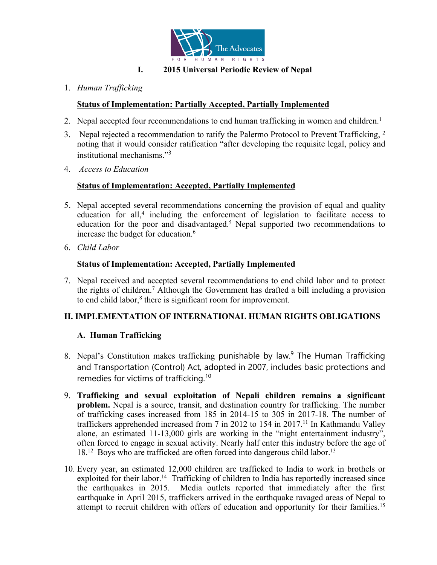

## **I. 2015 Universal Periodic Review of Nepal**

1. *Human Trafficking*

# **Status of Implementation: Partially Accepted, Partially Implemented**

- 2. Nepal accepted four recommendations to end human trafficking in women and children. 1
- 3. Nepal rejected a recommendation to ratify the Palermo Protocol to Prevent Trafficking,  $^2$ noting that it would consider ratification "after developing the requisite legal, policy and institutional mechanisms." 3
- 4. *Access to Education*

## **Status of Implementation: Accepted, Partially Implemented**

- 5. Nepal accepted several recommendations concerning the provision of equal and quality education for all, 4 including the enforcement of legislation to facilitate access to education for the poor and disadvantaged. <sup>5</sup> Nepal supported two recommendations to increase the budget for education. 6
- 6. *Child Labor*

## **Status of Implementation: Accepted, Partially Implemented**

7. Nepal received and accepted several recommendations to end child labor and to protect the rights of children. <sup>7</sup> Although the Government has drafted <sup>a</sup> bill including <sup>a</sup> provision to end child labor, 8 there is significant room for improvement.

## **II. IMPLEMENTATION OF INTERNATIONAL HUMAN RIGHTS OBLIGATIONS**

## **A. Human Trafficking**

- 8. Nepal'<sup>s</sup> Constitution makes trafficking punishable by law. 9 The Human Trafficking and Transportation (Control) Act, adopted in 2007, includes basic protections and remedies for victims of trafficking. $^{\rm 10}$
- 9. **Trafficking and sexual exploitation of Nepali children remains <sup>a</sup> significant problem.** Nepal is <sup>a</sup> source, transit, and destination country for trafficking. The number of trafficking cases increased from 185 in 2014-15 to 305 in 2017-18. The number of traffickers apprehended increased from 7 in 2012 to 154 in 2017. 11 In Kathmandu Valley alone, an estimated 11-13,000 girls are working in the "night entertainment industry", often forced to engage in sexual activity. Nearly half enter this industry before the age of 18.<sup>12</sup> Boys who are trafficked are often forced into dangerous child labor.<sup>13</sup>
- 10. Every year, an estimated 12,000 children are trafficked to India to work in brothels or exploited for their labor.<sup>14</sup> Trafficking of children to India has reportedly increased since the earthquakes in 2015. Media outlets reported that immediately after the first earthquake in April 2015, traffickers arrived in the earthquake ravaged areas of Nepal to attempt to recruit children with offers of education and opportunity for their families. 15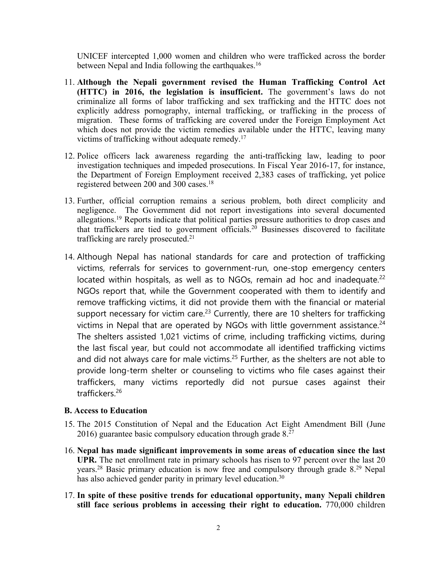UNICEF intercepted 1,000 women and children who were trafficked across the border between Nepal and India following the earthquakes.<sup>16</sup>

- 11. **Although the Nepali government revised the Human Trafficking Control Act (HTTC) in 2016, the legislation is insufficient.** The government'<sup>s</sup> laws do not criminalize all forms of labor trafficking and sex trafficking and the HTTC does not explicitly address pornography, internal trafficking, or trafficking in the process of migration. These forms of trafficking are covered under the Foreign Employment Act which does not provide the victim remedies available under the HTTC, leaving many victims of trafficking without adequate remedy. 17
- 12. Police officers lack awareness regarding the anti-trafficking law, leading to poor investigation techniques and impeded prosecutions. In Fiscal Year 2016-17, for instance, the Department of Foreign Employment received 2,383 cases of trafficking, ye<sup>t</sup> police registered between 200 and 300 cases. 18
- 13. Further, official corruption remains <sup>a</sup> serious problem, both direct complicity and negligence. The Government did not repor<sup>t</sup> investigations into several documented allegations.<sup>19</sup> Reports indicate that political parties pressure authorities to drop cases and that traffickers are tied to governmen<sup>t</sup> officials. <sup>20</sup> Businesses discovered to facilitate trafficking are rarely prosecuted.<sup>21</sup>
- 14. Although Nepal has national standards for care and protection of trafficking victims, referrals for services to government-run, one-stop emergency centers located within hospitals, as well as to NGOs, remain ad hoc and inadequate.<sup>22</sup> NGOs report that, while the Government cooperated with them to identify and remove trafficking victims, it did not provide them with the financial or material support necessary for victim care.<sup>23</sup> Currently, there are 10 shelters for trafficking victims in Nepal that are operated by NGOs with little government assistance. $^{\mathrm{24}}$ The shelters assisted 1,021 victims of crime, including trafficking victims, during the last fiscal year, but could not accommodate all identified trafficking victims and did not always care for male victims.<sup>25</sup> Further, as the shelters are not able to provide long-term shelter or counseling to victims who file cases against their traffickers, many victims reportedly did not pursue cases against their traffickers.<sup>26</sup>

#### **B. Access to Education**

- 15. The 2015 Constitution of Nepal and the Education Act Eight Amendment Bill (June 2016) guarantee basic compulsory education through grade 8.<sup>27</sup>
- 16. **Nepal has made significant improvements in some areas of education since the last UPR.** The net enrollment rate in primary schools has risen to 97 percen<sup>t</sup> over the last 20 years. <sup>28</sup> Basic primary education is now free and compulsory through grade 8. <sup>29</sup> Nepal has also achieved gender parity in primary level education.<sup>30</sup>
- 17. **In spite of these positive trends for educational opportunity, many Nepali children still face serious problems in accessing their right to education.** 770,000 children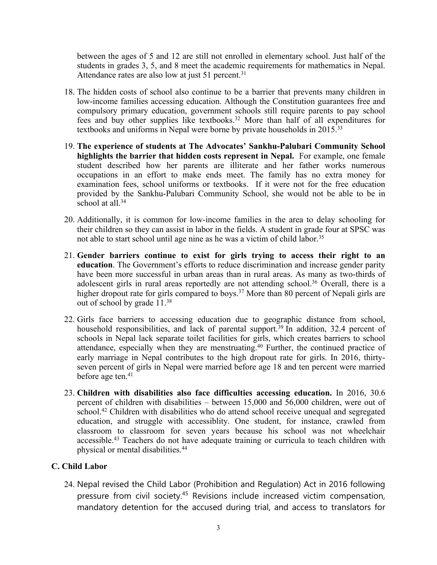between the ages of 5 and 12 are still not enrolled in elementary school. Just half of the students in grades 3, 5, and 8 meet the academic requirements for mathematics in Nepal. Attendance rates are also low at just 51 percent.<sup>31</sup>

- 18. The hidden costs of school also continue to be <sup>a</sup> barrier that prevents many children in low-income families accessing education. Although the Constitution guarantees free and compulsory primary education, governmen<sup>t</sup> schools still require parents to pay school fees and buy other supplies like textbooks. <sup>32</sup> More than half of all expenditures for textbooks and uniforms in Nepal were borne by private households in 2015.<sup>33</sup>
- 19. **The experience of students at The Advocates' Sankhu-Palubari Community School highlights the barrier that hidden costs represen<sup>t</sup> in Nepal.** For example, one female student described how her parents are illiterate and her father works numerous occupations in an effort to make ends meet. The family has no extra money for examination fees, school uniforms or textbooks. If it were not for the free education provided by the Sankhu-Palubari Community School, she would not be able to be in school at all. 34
- 20. Additionally, it is common for low-income families in the area to delay schooling for their children so they can assist in labor in the fields. A student in grade four at SPSC was not able to start school until age nine as he was <sup>a</sup> victim of child labor. 35
- 21. **Gender barriers continue to exist for girls trying to access their right to an education**. The Government'<sup>s</sup> efforts to reduce discrimination and increase gender parity have been more successful in urban areas than in rural areas. As many as two-thirds of adolescent girls in rural areas reportedly are not attending school. <sup>36</sup> Overall, there is <sup>a</sup> higher dropout rate for girls compared to boys.<sup>37</sup> More than 80 percent of Nepali girls are out of school by grade 11. 38
- 22. Girls face barriers to accessing education due to geographic distance from school, household responsibilities, and lack of parental support.<sup>39</sup> In addition, 32.4 percent of schools in Nepal lack separate toilet facilities for girls, which creates barriers to school attendance, especially when they are menstruating. 40 Further, the continued practice of early marriage in Nepal contributes to the high dropout rate for girls. In 2016, thirtyseven percen<sup>t</sup> of girls in Nepal were married before age 18 and ten percen<sup>t</sup> were married before age ten. 41
- 23. **Children with disabilities also face difficulties accessing education.** In 2016, 30.6 percen<sup>t</sup> of children with disabilities – between 15,000 and 56,000 children, were out of school. <sup>42</sup> Children with disabilities who do attend school receive unequal and segregated education, and struggle with accessiblity. One student, for instance, crawled from classroom to classroom for seven years because his school was not wheelchair accessible.<sup>43</sup> Teachers do not have adequate training or curricula to teach children with physical or mental disabilities. 44

## **C. Child Labor**

24. Nepal revised the Child Labor (Prohibition and Regulation) Act in 2016 following pressure from civil society.<sup>45</sup> Revisions include increased victim compensation, mandatory detention for the accused during trial, and access to translators for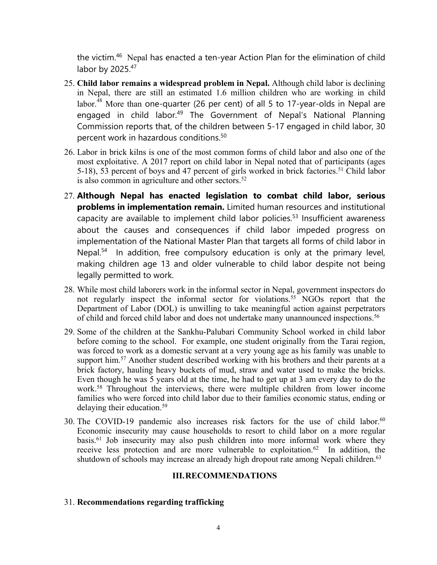the victim.<sup>46</sup> Nepal has enacted a ten-year Action Plan for the elimination of child labor by 2025.<sup>47</sup>

- 25. **Child labor remains <sup>a</sup> widespread problem in Nepal.** Although child labor is declining in Nepal, there are still an estimated 1.6 million children who are working in child labor. $^{48}$  More than one-quarter (26 per cent) of all 5 to 17-year-olds in Nepal are engaged in child labor.<sup>49</sup> The Government of Nepal's National Planning Commission reports that, of the children between 5-17 engaged in child labor, 30 percent work in hazardous conditions. 50
- 26. Labor in brick kilns is one of the most common forms of child labor and also one of the most exploitative. A 2017 repor<sup>t</sup> on child labor in Nepal noted that of participants (ages 5-18), 53 percen<sup>t</sup> of boys and 47 percen<sup>t</sup> of girls worked in brick factories. <sup>51</sup> Child labor is also common in agriculture and other sectors. 52
- 27. **Although Nepal has enacted legislation to combat child labor, serious problems in implementation remain.** Limited human resources and institutional capacity are available to implement child labor policies. 53 Insufficient awareness about the causes and consequences if child labor impeded progress on implementation of the National Master Plan that targets all forms of child labor in Nepal.<sup>54</sup> In addition, free compulsory education is only at the primary level, making children age 13 and older vulnerable to child labor despite not being legally permitted to work.
- 28. While most child laborers work in the informal sector in Nepal, governmen<sup>t</sup> inspectors do not regularly inspect the informal sector for violations. <sup>55</sup> NGOs repor<sup>t</sup> that the Department of Labor (DOL) is unwilling to take meaningful action against perpetrators of child and forced child labor and does not undertake many unannounced inspections. 56
- 29. Some of the children at the Sankhu-Palubari Community School worked in child labor before coming to the school. For example, one student originally from the Tarai region, was forced to work as <sup>a</sup> domestic servant at <sup>a</sup> very young age as his family was unable to support him.<sup>57</sup> Another student described working with his brothers and their parents at a brick factory, hauling heavy buckets of mud, straw and water used to make the bricks. Even though he was 5 years old at the time, he had to ge<sup>t</sup> up at 3 am every day to do the work. 58 Throughout the interviews, there were multiple children from lower income families who were forced into child labor due to their families economic status, ending or delaying their education. 59
- 30. The COVID-19 pandemic also increases risk factors for the use of child labor. 60 Economic insecurity may cause households to resort to child labor on <sup>a</sup> more regular basis. 61 Job insecurity may also push children into more informal work where they receive less protection and are more vulnerable to exploitation.<sup>62</sup> In addition, the shutdown of schools may increase an already high dropout rate among Nepali children.<sup>63</sup>

#### **III.RECOMMENDATIONS**

#### 31. **Recommendations regarding trafficking**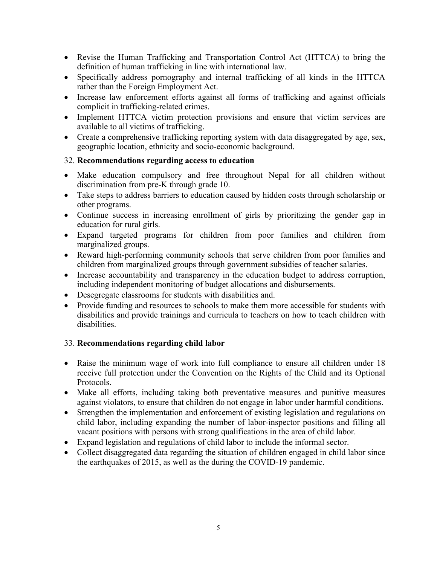- Revise the Human Trafficking and Transportation Control Act (HTTCA) to bring the definition of human trafficking in line with international law.
- Specifically address pornography and internal trafficking of all kinds in the HTTCA rather than the Foreign Employment Act.
- Increase law enforcement efforts against all forms of trafficking and against officials complicit in trafficking-related crimes.
- Implement HTTCA victim protection provisions and ensure that victim services are available to all victims of trafficking.
- Create a comprehensive trafficking reporting system with data disaggregated by age, sex, geographic location, ethnicity and socio-economic background.

## 32. **Recommendations regarding access to education**

- Make education compulsory and free throughout Nepal for all children without discrimination from pre-K through grade 10.
- Take steps to address barriers to education caused by hidden costs through scholarship or other programs.
- Continue success in increasing enrollment of girls by prioritizing the gender gap in education for rural girls.
- Expand targeted programs for children from poor families and children from marginalized groups.
- Reward high-performing community schools that serve children from poor families and children from marginalized groups through governmen<sup>t</sup> subsidies of teacher salaries.
- Increase accountability and transparency in the education budget to address corruption, including independent monitoring of budget allocations and disbursements.
- Desegregate classrooms for students with disabilities and.
- Provide funding and resources to schools to make them more accessible for students with disabilities and provide trainings and curricula to teachers on how to teach children with disabilities.

# 33. **Recommendations regarding child labor**

- Raise the minimum wage of work into full compliance to ensure all children under 18 receive full protection under the Convention on the Rights of the Child and its Optional Protocols.
- Make all efforts, including taking both preventative measures and punitive measures against violators, to ensure that children do not engage in labor under harmful conditions.
- Strengthen the implementation and enforcement of existing legislation and regulations on child labor, including expanding the number of labor-inspector positions and filling all vacant positions with persons with strong qualifications in the area of child labor.
- Expand legislation and regulations of child labor to include the informal sector.
- Collect disaggregated data regarding the situation of children engaged in child labor since the earthquakes of 2015, as well as the during the COVID-19 pandemic.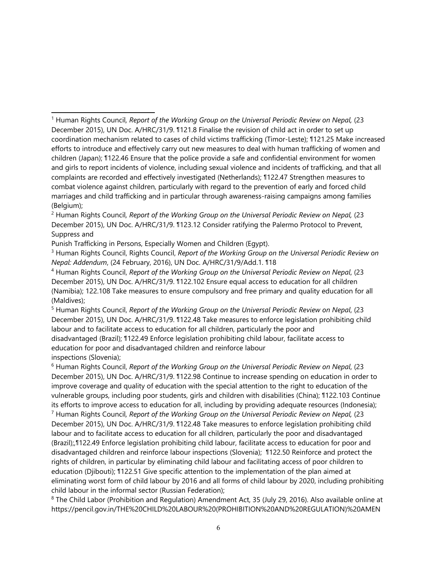Punish Trafficking in Persons, Especially Women and Children (Egypt).

3 Human Rights Council, Rights Council, *Report of the Working Group on the Universal Periodic Review on Nepal: Addendum*, (24 February, 2016), UN Doc. A/HRC/31/9/Add.1. ¶18

5 Human Rights Council, *Report of the Working Group on the Universal Periodic Review on Nepal*, (23 December 2015), UN Doc. A/HRC/31/9. ¶122.48 Take measures to enforce legislation prohibiting child labour and to facilitate access to education for all children, particularly the poor and disadvantaged (Brazil); ¶122.49 Enforce legislation prohibiting child labour, facilitate access to education for poor and disadvantaged children and reinforce labour inspections (Slovenia);

6 Human Rights Council, *Report of the Working Group on the Universal Periodic Review on Nepal*, (23 December 2015), UN Doc. A/HRC/31/9. ¶122.98 Continue to increase spending on education in order to improve coverage and quality of education with the special attention to the right to education of the vulnerable groups, including poor students, girls and children with disabilities (China); ¶122.103 Continue its efforts to improve access to education for all, including by providing adequate resources (Indonesia); 7 Human Rights Council*, Report of the Working Group on the Universal Periodic Review on Nepal,* (23 December 2015), UN Doc. A/HRC/31/9. ¶122.48 Take measures to enforce legislation prohibiting child labour and to facilitate access to education for all children, particularly the poor and disadvantaged (Brazil);,¶122.49 Enforce legislation prohibiting child labour, facilitate access to education for poor and disadvantaged children and reinforce labour inspections (Slovenia); ¶122.50 Reinforce and protect the rights of children, in particular by eliminating child labour and facilitating access of poor children to education (Djibouti); ¶122.51 Give specific attention to the implementation of the plan aimed at eliminating worst form of child labour by 2016 and all forms of child labour by 2020, including prohibiting child labour in the informal sector (Russian Federation);

8 The Child Labor (Prohibition and Regulation) Amendment Act, 35 (July 29, 2016). Also available online at [https://pencil.gov.in/THE%20CHILD%20LABOUR%20\(PROHIBITION%20AND%20REGULATION\)%20AMEN](https://pencil.gov.in/THE%20CHILD%20LABOUR%20(PROHIBITION%20AND%20REGULATION)%20AMENDMENT%20ACT,%202016(1).pdf)

<sup>1</sup> Human Rights Council*, Report of the Working Group on the Universal Periodic Review on Nepal,* (23 December 2015), UN Doc. A/HRC/31/9. ¶121.8 Finalise the revision of child act in order to set up coordination mechanism related to cases of child victims trafficking (Timor-Leste); ¶121.25 Make increased efforts to introduce and effectively carry out new measures to deal with human trafficking of women and children (Japan); ¶122.46 Ensure that the police provide <sup>a</sup> safe and confidential environment for women and girls to report incidents of violence, including sexual violence and incidents of trafficking, and that all complaints are recorded and effectively investigated (Netherlands); ¶122.47 Strengthen measures to combat violence against children, particularly with regard to the prevention of early and forced child marriages and child trafficking and in particular through awareness-raising campaigns among families (Belgium);

<sup>2</sup> Human Rights Council*, Report of the Working Group on the Universal Periodic Review on Nepal,* (23 December 2015), UN Doc. A/HRC/31/9. ¶123.12 Consider ratifying the Palermo Protocol to Prevent, Suppress and

<sup>4</sup> Human Rights Council, *Report of the Working Group on the Universal Periodic Review on Nepal*, (23 December 2015), UN Doc. A/HRC/31/9. ¶122.102 Ensure equal access to education for all children (Namibia); 122.108 Take measures to ensure compulsory and free primary and quality education for all (Maldives);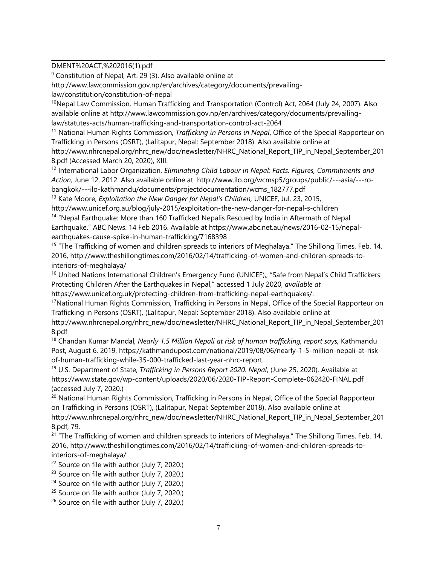[DMENT%20ACT,%202016\(1\).pdf](https://pencil.gov.in/THE%20CHILD%20LABOUR%20(PROHIBITION%20AND%20REGULATION)%20AMENDMENT%20ACT,%202016(1).pdf)

<sup>9</sup> Constitution of Nepal, Art. 29 (3). Also available online at

[http://www.lawcommission.gov.np/en/archives/category/documents/prevailing-](http://www.lawcommission.gov.np/en/archives/category/documents/prevailing-law/constitution/constitution-of-nepal)

[law/constitution/constitution-of-nepal](http://www.lawcommission.gov.np/en/archives/category/documents/prevailing-law/constitution/constitution-of-nepal)

<sup>10</sup>Nepal Law Commission, Human Trafficking and Transportation (Control) Act, 2064 (July 24, 2007). Also available online at [http://www.lawcommission.gov.np/en/archives/category/documents/prevailing](http://www.lawcommission.gov.np/en/archives/category/documents/prevailing-law/statutes-acts/human-trafficking-and-transportation-control-act-2064)[law/statutes-acts/human-trafficking-and-transportation-control-act-2064](http://www.lawcommission.gov.np/en/archives/category/documents/prevailing-law/statutes-acts/human-trafficking-and-transportation-control-act-2064)

11 National Human Rights Commission, *Trafficking in Persons in Nepal*, Office of the Special Rapporteur on Trafficking in Persons (OSRT), (Lalitapur, Nepal: September 2018). Also available online at [http://www.nhrcnepal.org/nhrc\\_new/doc/newsletter/NHRC\\_National\\_Report\\_TIP\\_in\\_Nepal\\_September\\_201](http://www.nhrcnepal.org/nhrc_new/doc/newsletter/NHRC_National_Report_TIP_in_Nepal_September_2018.pdf) [8.pdf](http://www.nhrcnepal.org/nhrc_new/doc/newsletter/NHRC_National_Report_TIP_in_Nepal_September_2018.pdf) (Accessed March 20, 2020), XIII.

12 International Labor Organization, *Eliminating Child Labour in Nepal: Facts, Figures, Commitments and Action,* June 12, 2012. Also available online at [http://www.ilo.org/wcmsp5/groups/public/---asia/---ro](http://www.ilo.org/wcmsp5/groups/public/---asia/---ro-bangkok/---ilo-kathmandu/documents/projectdocumentation/wcms_182777.pdf)[bangkok/---ilo-kathmandu/documents/projectdocumentation/wcms\\_182777.pdf](http://www.ilo.org/wcmsp5/groups/public/---asia/---ro-bangkok/---ilo-kathmandu/documents/projectdocumentation/wcms_182777.pdf)

13 Kate Moore, *Exploitation the New Danger for Nepal'<sup>s</sup> Children,* UNICEF, Jul. 23, 2015, <http://www.unicef.org.au/blog/july-2015/exploitation-the-new-danger-for-nepal-s-children>

<sup>14</sup> "Nepal Earthquake: More than 160 Trafficked Nepalis Rescued by India in Aftermath of Nepal Earthquake." ABC News. 14 Feb 2016. Available at [https://www.abc.net.au/news/2016-02-15/nepal](https://www.abc.net.au/news/2016-02-15/nepal-earthquakes-cause-spike-in-human-trafficking/7168398)[earthquakes-cause-spike-in-human-trafficking/7168398](https://www.abc.net.au/news/2016-02-15/nepal-earthquakes-cause-spike-in-human-trafficking/7168398)

<sup>15</sup> "The Trafficking of women and children spreads to interiors of Meghalaya." The Shillong Times, Feb. 14, 2016, [http://www.theshillongtimes.com/2016/02/14/trafficking-of-women-and-children-spreads-to](http://www.theshillongtimes.com/2016/02/14/trafficking-of-women-and-children-spreads-to-interiors-of-meghalaya/)[interiors-of-meghalaya/](http://www.theshillongtimes.com/2016/02/14/trafficking-of-women-and-children-spreads-to-interiors-of-meghalaya/)

<sup>16</sup> United Nations International Children's Emergency Fund (UNICEF),, "Safe from Nepal's Child Traffickers: Protecting Children After the Earthquakes in Nepal," accessed 1 July 2020, *available at*

<https://www.unicef.org.uk/protecting-children-from-trafficking-nepal-earthquakes/>.

<sup>17</sup>National Human Rights Commission, Trafficking in Persons in Nepal, Office of the Special Rapporteur on Trafficking in Persons (OSRT), (Lalitapur, Nepal: September 2018). Also available online at [http://www.nhrcnepal.org/nhrc\\_new/doc/newsletter/NHRC\\_National\\_Report\\_TIP\\_in\\_Nepal\\_September\\_201](http://www.nhrcnepal.org/nhrc_new/doc/newsletter/NHRC_National_Report_TIP_in_Nepal_September_2018.pdf) [8.pdf](http://www.nhrcnepal.org/nhrc_new/doc/newsletter/NHRC_National_Report_TIP_in_Nepal_September_2018.pdf)

18 Chandan Kumar Mandal, *Nearly 1.5 Million Nepali at risk of human trafficking, repor<sup>t</sup> says,* Kathmandu Post, August 6, 2019, [https://kathmandupost.com/national/2019/08/06/nearly-1-5-million-nepali-at-risk](https://kathmandupost.com/national/2019/08/06/nearly-1-5-million-nepali-at-risk-of-human-trafficking-while-35-000-trafficked-last-year-nhrc-report.)[of-human-trafficking-while-35-000-trafficked-last-year-nhrc-report.](https://kathmandupost.com/national/2019/08/06/nearly-1-5-million-nepali-at-risk-of-human-trafficking-while-35-000-trafficked-last-year-nhrc-report.)

19 U.S. Department of State, *Trafficking in Persons Report 2020: Nepal*, (June 25, 2020). Available at <https://www.state.gov/wp-content/uploads/2020/06/2020-TIP-Report-Complete-062420-FINAL.pdf> (accessed July 7, 2020.)

<sup>20</sup> National Human Rights Commission, Trafficking in Persons in Nepal, Office of the Special Rapporteur on Trafficking in Persons (OSRT), (Lalitapur, Nepal: September 2018). Also available online at [http://www.nhrcnepal.org/nhrc\\_new/doc/newsletter/NHRC\\_National\\_Report\\_TIP\\_in\\_Nepal\\_September\\_201](http://www.nhrcnepal.org/nhrc_new/doc/newsletter/NHRC_National_Report_TIP_in_Nepal_September_2018.pdf) [8.pdf](http://www.nhrcnepal.org/nhrc_new/doc/newsletter/NHRC_National_Report_TIP_in_Nepal_September_2018.pdf), 79.

<sup>21</sup> "The Trafficking of women and children spreads to interiors of Meghalaya." The Shillong Times, Feb. 14, 2016, [http://www.theshillongtimes.com/2016/02/14/trafficking-of-women-and-children-spreads-to](http://www.theshillongtimes.com/2016/02/14/trafficking-of-women-and-children-spreads-to-interiors-of-meghalaya/)[interiors-of-meghalaya/](http://www.theshillongtimes.com/2016/02/14/trafficking-of-women-and-children-spreads-to-interiors-of-meghalaya/)

<sup>22</sup> Source on file with author (July 7, 2020.)

<sup>23</sup> Source on file with author (July 7, 2020.)

<sup>24</sup> Source on file with author (July 7, 2020.)

<sup>25</sup> Source on file with author (July 7, 2020.)

<sup>26</sup> Source on file with author (July 7, 2020.)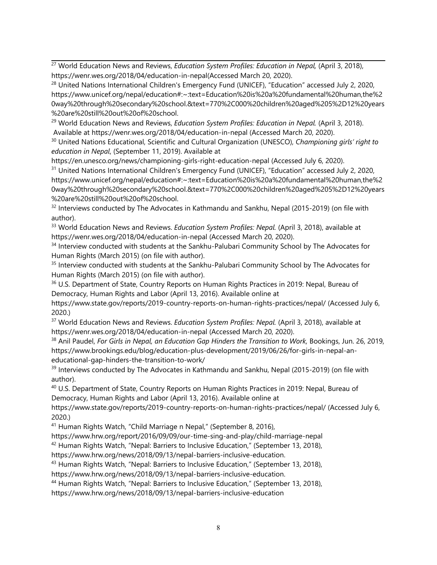<sup>27</sup> World Education News and Reviews, *Education System Profiles: Education in Nepal,* (April 3, 2018), <https://wenr.wes.org/2018/04/education-in-nepal>(Accessed March 20, 2020).

<sup>28</sup> United Nations International Children's Emergency Fund (UNICEF), "Education" accessed July 2, 2020, [https://www.unicef.org/nepal/education#:~:text=Education%20is%20a%20fundamental%20human,the%2](https://www.unicef.org/nepal/education#:~:text=Education%20is%20a%20fundamental%20human,the%20way%20through%20secondary%20school.&text=770%2C000%20children%20aged%205%2D12%20years%20are%20still%20out%20of%20school.) [0way%20through%20secondary%20school.&text=770%2C000%20children%20aged%205%2D12%20years](https://www.unicef.org/nepal/education#:~:text=Education%20is%20a%20fundamental%20human,the%20way%20through%20secondary%20school.&text=770%2C000%20children%20aged%205%2D12%20years%20are%20still%20out%20of%20school.) [%20are%20still%20out%20of%20school.](https://www.unicef.org/nepal/education#:~:text=Education%20is%20a%20fundamental%20human,the%20way%20through%20secondary%20school.&text=770%2C000%20children%20aged%205%2D12%20years%20are%20still%20out%20of%20school.)

<sup>29</sup> World Education News and Reviews, *Education System Profiles: Education in Nepal.* (April 3, 2018). Available at <https://wenr.wes.org/2018/04/education-in-nepal> (Accessed March 20, 2020).

30 United Nations Educational, Scientific and Cultural Organization (UNESCO), *Championing girls' right to education in Nepal*, (September 11, 2019). Available at

<https://en.unesco.org/news/championing-girls-right-education-nepal> (Accessed July 6, 2020).

<sup>31</sup> United Nations International Children's Emergency Fund (UNICEF), "Education" accessed July 2, 2020, https://www.unicef.org/nepal/education#:~:text=Education%20is%20a%20fundamental%20human,the%2 0way%20through%20secondary%20school.&text=770%2C000%20children%20aged%205%2D12%20years %20are%20still%20out%20of%20school.

 $32$  Interviews conducted by The Advocates in Kathmandu and Sankhu, Nepal (2015-2019) (on file with author).

<sup>33</sup> World Education News and Reviews. *Education System Profiles: Nepal.* (April 3, 2018), available at <https://wenr.wes.org/2018/04/education-in-nepal> (Accessed March 20, 2020).

<sup>34</sup> Interview conducted with students at the Sankhu-Palubari Community School by The Advocates for Human Rights (March 2015) (on file with author).

<sup>35</sup> Interview conducted with students at the Sankhu-Palubari Community School by The Advocates for Human Rights (March 2015) (on file with author).

 $^{\rm 36}$  U.S. Department of State, Country Reports on Human Rights Practices in 2019: Nepal, Bureau of Democracy, Human Rights and Labor (April 13, 2016). Available online at

https://www.state.gov/reports/2019-country-reports-on-human-rights-practices/nepal/ (Accessed July 6, 2020.)

<sup>37</sup> World Education News and Reviews. *Education System Profiles: Nepal.* (April 3, 2018), available at <https://wenr.wes.org/2018/04/education-in-nepal> (Accessed March 20, 2020).

38 Anil Paudel, *For Girls in Nepal, an Education Gap Hinders the Transition to Work,* Bookings, Jun. 26, 2019, [https://www.brookings.edu/blog/education-plus-development/2019/06/26/for-girls-in-nepal-an](https://www.brookings.edu/blog/education-plus-development/2019/06/26/for-girls-in-nepal-an-educational-gap-hinders-the-transition-to-work/)[educational-gap-hinders-the-transition-to-work/](https://www.brookings.edu/blog/education-plus-development/2019/06/26/for-girls-in-nepal-an-educational-gap-hinders-the-transition-to-work/)

<sup>39</sup> Interviews conducted by The Advocates in Kathmandu and Sankhu, Nepal (2015-2019) (on file with author).

<sup>40</sup> U.S. Department of State, Country Reports on Human Rights Practices in 2019: Nepal, Bureau of Democracy, Human Rights and Labor (April 13, 2016). Available online at

<https://www.state.gov/reports/2019-country-reports-on-human-rights-practices/nepal/> (Accessed July 6, 2020.)

<sup>41</sup> Human Rights Watch, "Child Marriage n Nepal," (September 8, 2016),

<https://www.hrw.org/report/2016/09/09/our-time-sing-and-play/child-marriage-nepal>

<sup>42</sup> Human Rights Watch, "Nepal: Barriers to Inclusive Education," (September 13, 2018),

https://www.hrw.org/news/2018/09/13/nepal-barriers-inclusive-education.

<sup>43</sup> Human Rights Watch, "Nepal: Barriers to Inclusive Education," (September 13, 2018), <https://www.hrw.org/news/2018/09/13/nepal-barriers-inclusive-education>.

<sup>44</sup> Human Rights Watch, "Nepal: Barriers to Inclusive Education," (September 13, 2018),

<https://www.hrw.org/news/2018/09/13/nepal-barriers-inclusive-education>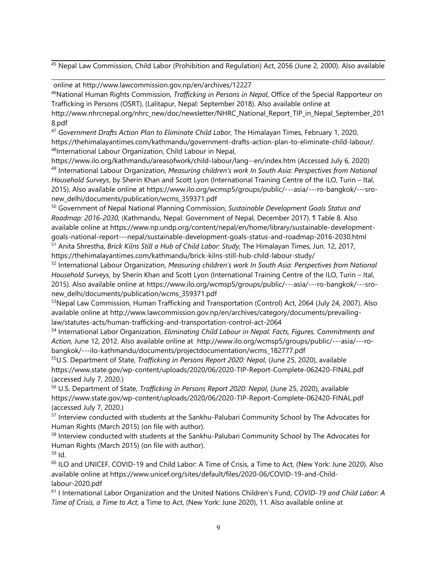<sup>45</sup> Nepal Law Commission, Child Labor (Prohibition and Regulation) Act, 2056 (June 2, 2000). Also available

online at <http://www.lawcommission.gov.np/en/archives/12227>

46 National Human Rights Commission, *Trafficking in Persons in Nepal,* Office of the Special Rapporteur on Trafficking in Persons (OSRT), (Lalitapur, Nepal: September 2018). Also available online at

[http://www.nhrcnepal.org/nhrc\\_new/doc/newsletter/NHRC\\_National\\_Report\\_TIP\\_in\\_Nepal\\_September\\_201](http://www.nhrcnepal.org/nhrc_new/doc/newsletter/NHRC_National_Report_TIP_in_Nepal_September_2018.pdf) [8.pdf](http://www.nhrcnepal.org/nhrc_new/doc/newsletter/NHRC_National_Report_TIP_in_Nepal_September_2018.pdf)

47 *Government Drafts Action Plan to Eliminate Child Labor,* The Himalayan Times, February 1, 2020, <https://thehimalayantimes.com/kathmandu/government-drafts-action-plan-to-eliminate-child-labour/>. <sup>48</sup>International Labour Organization, Child Labour in Nepal,

[https://www.ilo.org/kathmandu/areasofwork/child-labour/lang--en/index.htm](https://advrights.sharepoint.com/sites/UNSubmissions/Documents/2020%20UN%20Submissions/Nepal%20UPR/,%20%20https:/www.ilo.org/kathmandu/areasofwork/child-labour/lang--en/index.htm) (Accessed July 6, 2020) 49 International Labour Organization, *Measuring children'<sup>s</sup> work In South Asia: Perspectives from National Household Surveys*, by Sherin Khan and Scott Lyon (International Training Centre of the ILO, Turin – Ital, 2015). Also available online at [https://www.ilo.org/wcmsp5/groups/public/---asia/---ro-bangkok/---sro](https://www.ilo.org/wcmsp5/groups/public/---asia/---ro-bangkok/---sro-new_delhi/documents/publication/wcms_359371.pdf)[new\\_delhi/documents/publication/wcms\\_359371.pdf](https://www.ilo.org/wcmsp5/groups/public/---asia/---ro-bangkok/---sro-new_delhi/documents/publication/wcms_359371.pdf)

50 Government of Nepal National Planning Commission, *Sustainable Development Goals Status and Roadmap: 2016-2030*, (Kathmandu, Nepal: Government of Nepal, December 2017). ¶ Table 8. Also available online at [https://www.np.undp.org/content/nepal/en/home/library/sustainable-development](https://www.np.undp.org/content/nepal/en/home/library/sustainable-development-goals-national-report---nepal/sustainable-development-goals-status-and-roadmap-2016-2030.html)goa[ls-national-report---nepal/sustainable-development-goals-status-and-roadmap-2016-2030.html](https://www.np.undp.org/content/nepal/en/home/library/sustainable-development-goals-national-report---nepal/sustainable-development-goals-status-and-roadmap-2016-2030.html)

51 Anita Shrestha, *Brick Kilns Still <sup>a</sup> Hub of Child Labor: Study,* The Himalayan Times, Jun. 12, 2017, <https://thehimalayantimes.com/kathmandu/brick-kilns-still-hub-child-labour-study/>

52 International Labour Organization, *Measuring children'<sup>s</sup> work In South Asia: Perspectives from National Household Surveys*, by Sherin Khan and Scott Lyon (International Training Centre of the ILO, Turin – Ital, 2015). Also available online at https://www.ilo.org/wcmsp5/groups/public/---asia/---ro-bangkok/---sronew\_delhi/documents/publication/wcms\_359371.pdf

<sup>53</sup>Nepal Law Commission, Human Trafficking and Transportation (Control) Act, 2064 (July 24, 2007). Also available online at http://www.lawcommission.gov.np/en/archives/category/documents/prevailinglaw/statutes-acts/human-trafficking-and-transportation-control-act-2064

54 International Labor Organization, *Eliminating Child Labour in Nepal: Facts, Figures, Commitments and Action,* June 12, 2012. Also available online at [http://www.ilo.org/wcmsp5/groups/public/---asia/---ro](http://www.ilo.org/wcmsp5/groups/public/---asia/---ro-bangkok/---ilo-kathmandu/documents/projectdocumentation/wcms_182777.pdf)[bangkok/---ilo-kathmandu/documents/projectdocumentation/wcms\\_182777.pdf](http://www.ilo.org/wcmsp5/groups/public/---asia/---ro-bangkok/---ilo-kathmandu/documents/projectdocumentation/wcms_182777.pdf)

55 U.S. Department of State, *Trafficking in Persons Report 2020: Nepal*, (June 25, 2020), available <https://www.state.gov/wp-content/uploads/2020/06/2020-TIP-Report-Complete-062420-FINAL.pdf> (accessed July 7, 2020.)

56 U.S. Department of State, *Trafficking in Persons Report 2020: Nepal*, (June 25, 2020), available <https://www.state.gov/wp-content/uploads/2020/06/2020-TIP-Report-Complete-062420-FINAL.pdf> (accessed July 7, 2020.)

<sup>57</sup> Interview conducted with students at the Sankhu-Palubari Community School by The Advocates for Human Rights (March 2015) (on file with author).

 $^{58}$  Interview conducted with students at the Sankhu-Palubari Community School by The Advocates for Human Rights (March 2015) (on file with author).

<sup>59</sup> Id.

 $^{60}$  ILO and UNICEF, COVID-19 and Child Labor: A Time of Crisis, a Time to Act, (New York: June 2020). Also available online at https://www.unicef.org/sites/default/files/2020-06/COVID-19-and-Childlabour-2020.pdf

61 I International Labor Organization and the United Nations Children'<sup>s</sup> Fund, *COVID-19 and Child Labor: A Time of Crisis, <sup>a</sup> Time to Act*, <sup>a</sup> Time to Act, (New York: June 2020), 11. Also available online at